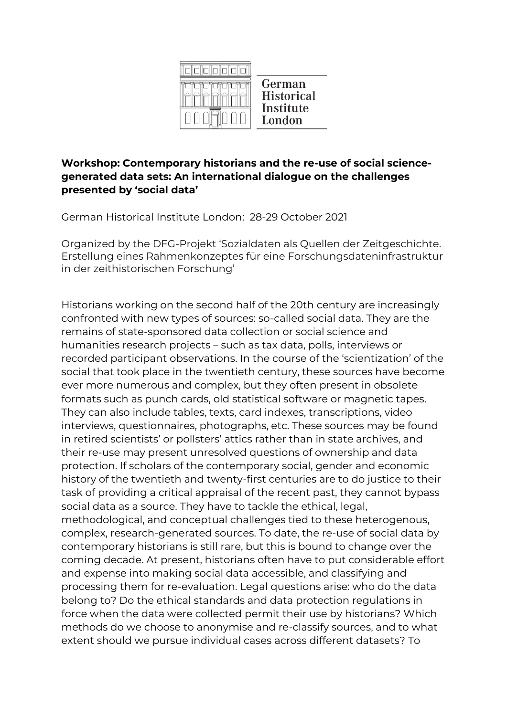

#### **Workshop: Contemporary historians and the re-use of social sciencegenerated data sets: An international dialogue on the challenges presented by 'social data'**

German Historical Institute London: 28-29 October 2021

Organized by the DFG-Projekt 'Sozialdaten als Quellen der Zeitgeschichte. Erstellung eines Rahmenkonzeptes für eine Forschungsdateninfrastruktur in der zeithistorischen Forschung'

Historians working on the second half of the 20th century are increasingly confronted with new types of sources: so-called social data. They are the remains of state-sponsored data collection or social science and humanities research projects – such as tax data, polls, interviews or recorded participant observations. In the course of the 'scientization' of the social that took place in the twentieth century, these sources have become ever more numerous and complex, but they often present in obsolete formats such as punch cards, old statistical software or magnetic tapes. They can also include tables, texts, card indexes, transcriptions, video interviews, questionnaires, photographs, etc. These sources may be found in retired scientists' or pollsters' attics rather than in state archives, and their re-use may present unresolved questions of ownership and data protection. If scholars of the contemporary social, gender and economic history of the twentieth and twenty-first centuries are to do justice to their task of providing a critical appraisal of the recent past, they cannot bypass social data as a source. They have to tackle the ethical, legal, methodological, and conceptual challenges tied to these heterogenous, complex, research-generated sources. To date, the re-use of social data by contemporary historians is still rare, but this is bound to change over the coming decade. At present, historians often have to put considerable effort and expense into making social data accessible, and classifying and processing them for re-evaluation. Legal questions arise: who do the data belong to? Do the ethical standards and data protection regulations in force when the data were collected permit their use by historians? Which methods do we choose to anonymise and re-classify sources, and to what extent should we pursue individual cases across different datasets? To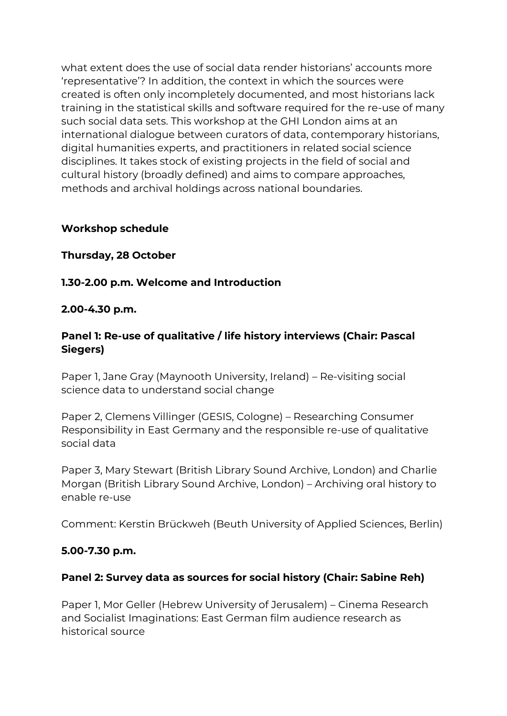what extent does the use of social data render historians' accounts more 'representative'? In addition, the context in which the sources were created is often only incompletely documented, and most historians lack training in the statistical skills and software required for the re-use of many such social data sets. This workshop at the GHI London aims at an international dialogue between curators of data, contemporary historians, digital humanities experts, and practitioners in related social science disciplines. It takes stock of existing projects in the field of social and cultural history (broadly defined) and aims to compare approaches, methods and archival holdings across national boundaries.

#### **Workshop schedule**

#### **Thursday, 28 October**

#### **1.30-2.00 p.m. Welcome and Introduction**

#### **2.00-4.30 p.m.**

## **Panel 1: Re-use of qualitative / life history interviews (Chair: Pascal Siegers)**

Paper 1, Jane Gray (Maynooth University, Ireland) – Re-visiting social science data to understand social change

Paper 2, Clemens Villinger (GESIS, Cologne) – Researching Consumer Responsibility in East Germany and the responsible re-use of qualitative social data

Paper 3, Mary Stewart (British Library Sound Archive, London) and Charlie Morgan (British Library Sound Archive, London) – Archiving oral history to enable re-use

Comment: Kerstin Brückweh (Beuth University of Applied Sciences, Berlin)

#### **5.00-7.30 p.m.**

## **Panel 2: Survey data as sources for social history (Chair: Sabine Reh)**

Paper 1, Mor Geller (Hebrew University of Jerusalem) – Cinema Research and Socialist Imaginations: East German film audience research as historical source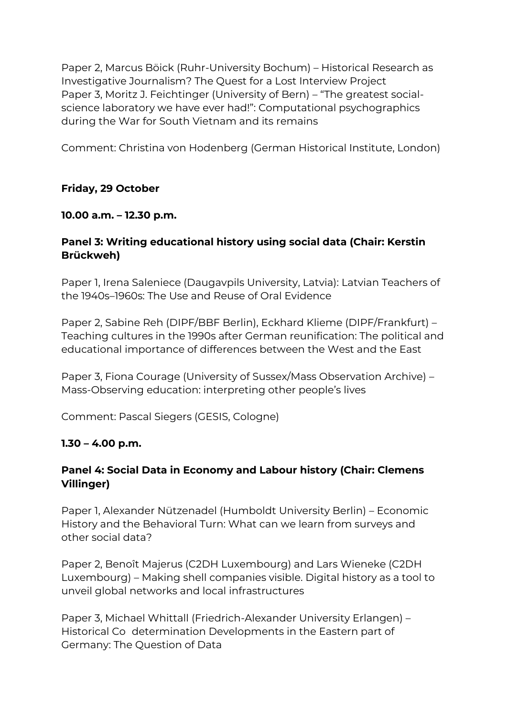Paper 2, Marcus Böick (Ruhr-University Bochum) – Historical Research as Investigative Journalism? The Quest for a Lost Interview Project Paper 3, Moritz J. Feichtinger (University of Bern) – "The greatest socialscience laboratory we have ever had!": Computational psychographics during the War for South Vietnam and its remains

Comment: Christina von Hodenberg (German Historical Institute, London)

# **Friday, 29 October**

## **10.00 a.m. – 12.30 p.m.**

# **Panel 3: Writing educational history using social data (Chair: Kerstin Brückweh)**

Paper 1, Irena Saleniece (Daugavpils University, Latvia): Latvian Teachers of the 1940s–1960s: The Use and Reuse of Oral Evidence

Paper 2, Sabine Reh (DIPF/BBF Berlin), Eckhard Klieme (DIPF/Frankfurt) – Teaching cultures in the 1990s after German reunification: The political and educational importance of differences between the West and the East

Paper 3, Fiona Courage (University of Sussex/Mass Observation Archive) – Mass-Observing education: interpreting other people's lives

Comment: Pascal Siegers (GESIS, Cologne)

## **1.30 – 4.00 p.m.**

## **Panel 4: Social Data in Economy and Labour history (Chair: Clemens Villinger)**

Paper 1, Alexander Nützenadel (Humboldt University Berlin) – Economic History and the Behavioral Turn: What can we learn from surveys and other social data?

Paper 2, Benoît Majerus (C2DH Luxembourg) and Lars Wieneke (C2DH Luxembourg) – Making shell companies visible. Digital history as a tool to unveil global networks and local infrastructures

Paper 3, Michael Whittall (Friedrich-Alexander University Erlangen) – Historical Co determination Developments in the Eastern part of Germany: The Question of Data